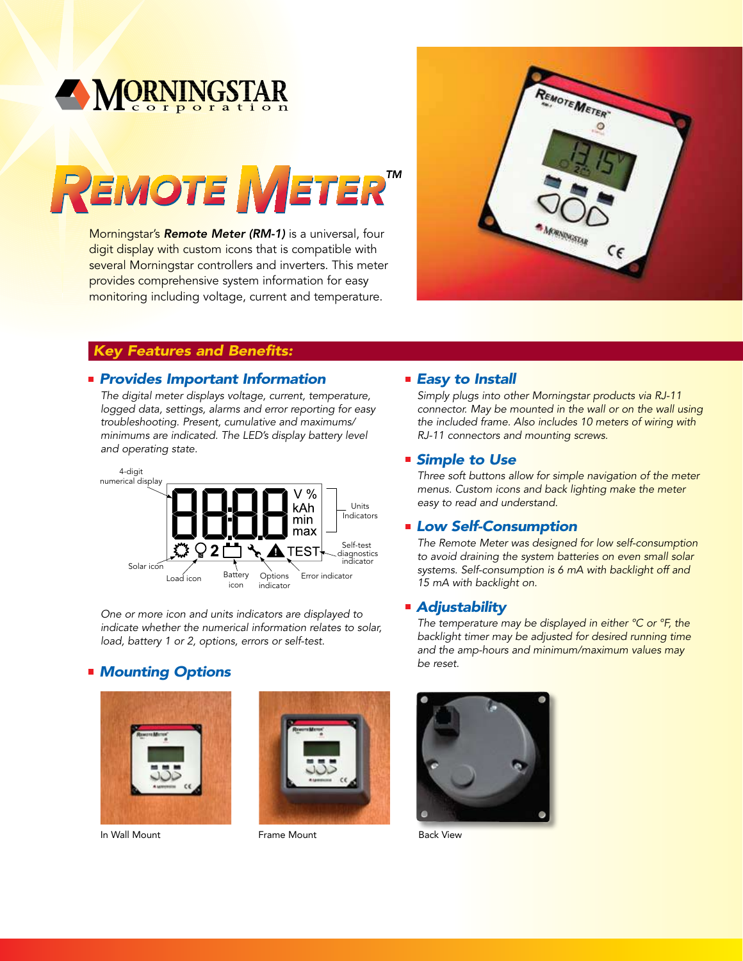

# REMOTE METER<sup>TM</sup>

Morningstar's Remote Meter (RM-1) is a universal, four digit display with custom icons that is compatible with several Morningstar controllers and inverters. This meter provides comprehensive system information for easy monitoring including voltage, current and temperature.



### *Key Features and Benefits:*

### *Provides Important Information*

The digital meter displays voltage, current, temperature, logged data, settings, alarms and error reporting for easy troubleshooting. Present, cumulative and maximums/ minimums are indicated. The LED's display battery level and operating state.



One or more icon and units indicators are displayed to indicate whether the numerical information relates to solar, load, battery 1 or 2, options, errors or self-test.

### *Mounting Options*



In Wall Mount Frame Mount Back View



### *Easy to Install*

Simply plugs into other Morningstar products via RJ-11 connector. May be mounted in the wall or on the wall using the included frame. Also includes 10 meters of wiring with RJ-11 connectors and mounting screws.

### *Simple to Use*

Three soft buttons allow for simple navigation of the meter menus. Custom icons and back lighting make the meter easy to read and understand.

### *Low Self-Consumption*

The Remote Meter was designed for low self-consumption to avoid draining the system batteries on even small solar systems. Self-consumption is 6 mA with backlight off and 15 mA with backlight on.

### *Adjustability*

The temperature may be displayed in either °C or °F, the backlight timer may be adjusted for desired running time and the amp-hours and minimum/maximum values may be reset.